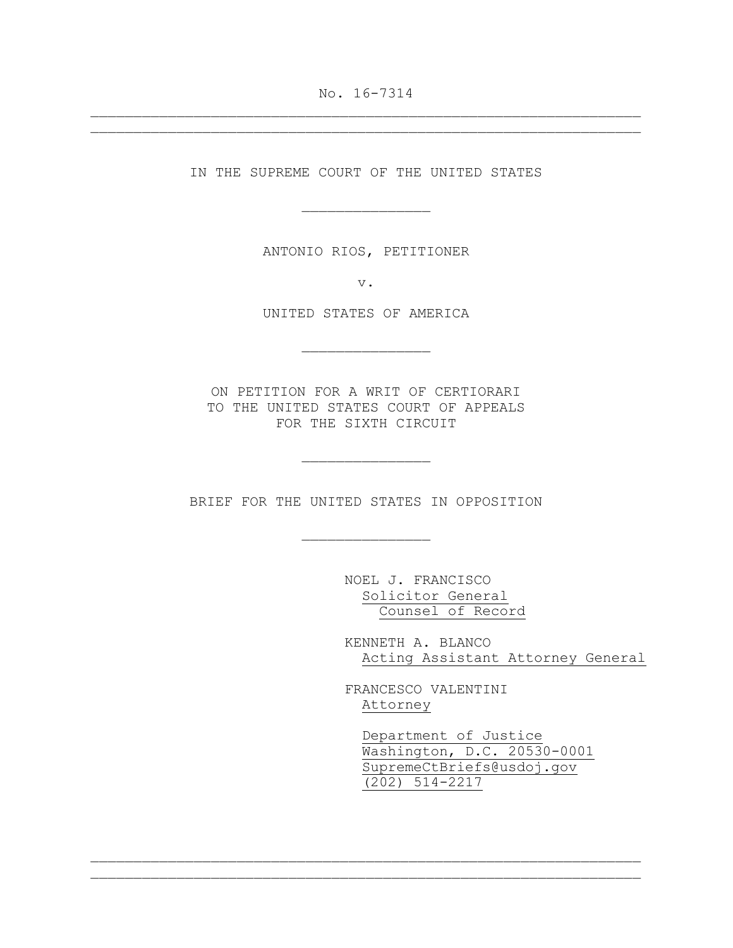No. 16-7314  $\_$  , and the set of the set of the set of the set of the set of the set of the set of the set of the set of the set of the set of the set of the set of the set of the set of the set of the set of the set of the set of th

 $\_$  , and the set of the set of the set of the set of the set of the set of the set of the set of the set of the set of the set of the set of the set of the set of the set of the set of the set of the set of the set of th

IN THE SUPREME COURT OF THE UNITED STATES

 $\overline{\phantom{a}}$  , where  $\overline{\phantom{a}}$  , where  $\overline{\phantom{a}}$ 

ANTONIO RIOS, PETITIONER

v.

UNITED STATES OF AMERICA

 $\overline{\phantom{a}}$  , where  $\overline{\phantom{a}}$  , where  $\overline{\phantom{a}}$ 

ON PETITION FOR A WRIT OF CERTIORARI TO THE UNITED STATES COURT OF APPEALS FOR THE SIXTH CIRCUIT

 $\overline{\phantom{a}}$  , where  $\overline{\phantom{a}}$  , where  $\overline{\phantom{a}}$ 

BRIEF FOR THE UNITED STATES IN OPPOSITION

 $\overline{\phantom{a}}$  , where  $\overline{\phantom{a}}$  , where  $\overline{\phantom{a}}$ 

 $\_$  , and the set of the set of the set of the set of the set of the set of the set of the set of the set of the set of the set of the set of the set of the set of the set of the set of the set of the set of the set of th  $\_$  , and the set of the set of the set of the set of the set of the set of the set of the set of the set of the set of the set of the set of the set of the set of the set of the set of the set of the set of the set of th

 NOEL J. FRANCISCO Solicitor General Counsel of Record

 KENNETH A. BLANCO Acting Assistant Attorney General

 FRANCESCO VALENTINI Attorney

 Department of Justice Washington, D.C. 20530-0001 SupremeCtBriefs@usdoj.gov (202) 514-2217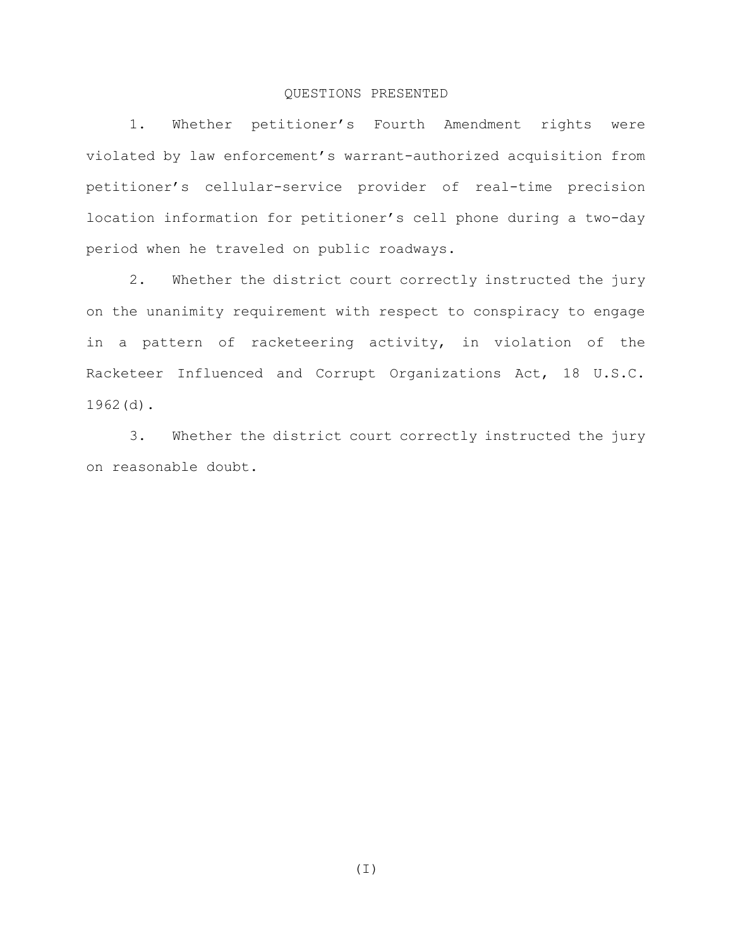# QUESTIONS PRESENTED

1. Whether petitioner's Fourth Amendment rights were violated by law enforcement's warrant-authorized acquisition from petitioner's cellular-service provider of real-time precision location information for petitioner's cell phone during a two-day period when he traveled on public roadways.

2. Whether the district court correctly instructed the jury on the unanimity requirement with respect to conspiracy to engage in a pattern of racketeering activity, in violation of the Racketeer Influenced and Corrupt Organizations Act, 18 U.S.C. 1962(d).

3. Whether the district court correctly instructed the jury on reasonable doubt.

(I)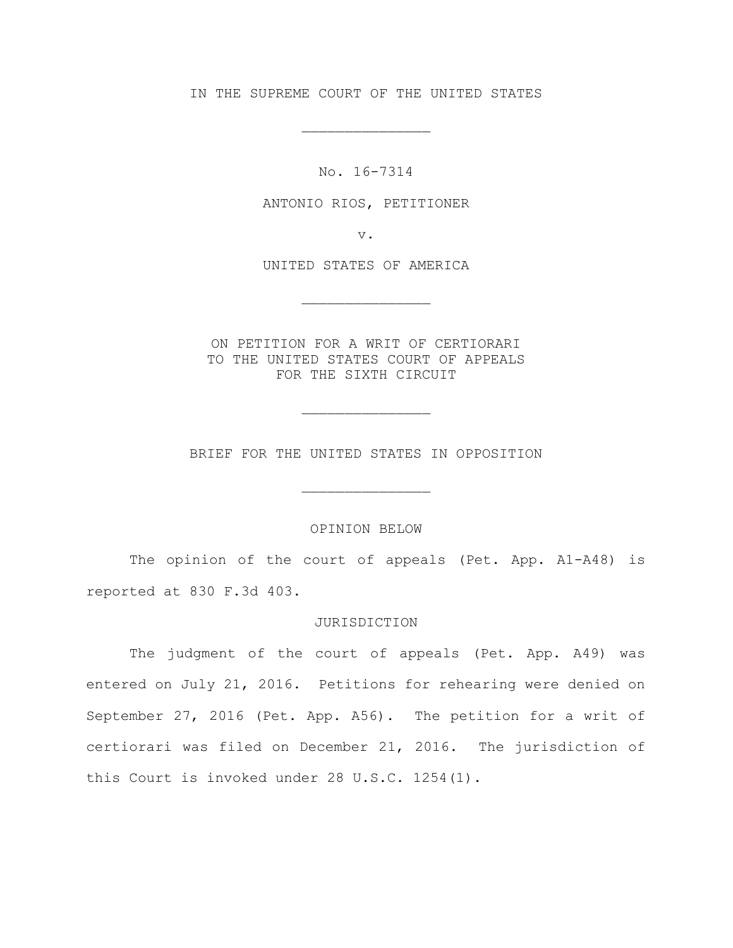IN THE SUPREME COURT OF THE UNITED STATES

 $\overline{\phantom{a}}$  , where  $\overline{\phantom{a}}$  , where  $\overline{\phantom{a}}$ 

No. 16-7314

ANTONIO RIOS, PETITIONER

v.

UNITED STATES OF AMERICA

 $\overline{\phantom{a}}$  , where  $\overline{\phantom{a}}$  , where  $\overline{\phantom{a}}$ 

ON PETITION FOR A WRIT OF CERTIORARI TO THE UNITED STATES COURT OF APPEALS FOR THE SIXTH CIRCUIT

BRIEF FOR THE UNITED STATES IN OPPOSITION

 $\overline{\phantom{a}}$  , where  $\overline{\phantom{a}}$  , where  $\overline{\phantom{a}}$ 

 $\overline{\phantom{a}}$  , where  $\overline{\phantom{a}}$  , where  $\overline{\phantom{a}}$ 

## OPINION BELOW

The opinion of the court of appeals (Pet. App. A1-A48) is reported at 830 F.3d 403.

### JURISDICTION

The judgment of the court of appeals (Pet. App. A49) was entered on July 21, 2016. Petitions for rehearing were denied on September 27, 2016 (Pet. App. A56). The petition for a writ of certiorari was filed on December 21, 2016. The jurisdiction of this Court is invoked under 28 U.S.C. 1254(1).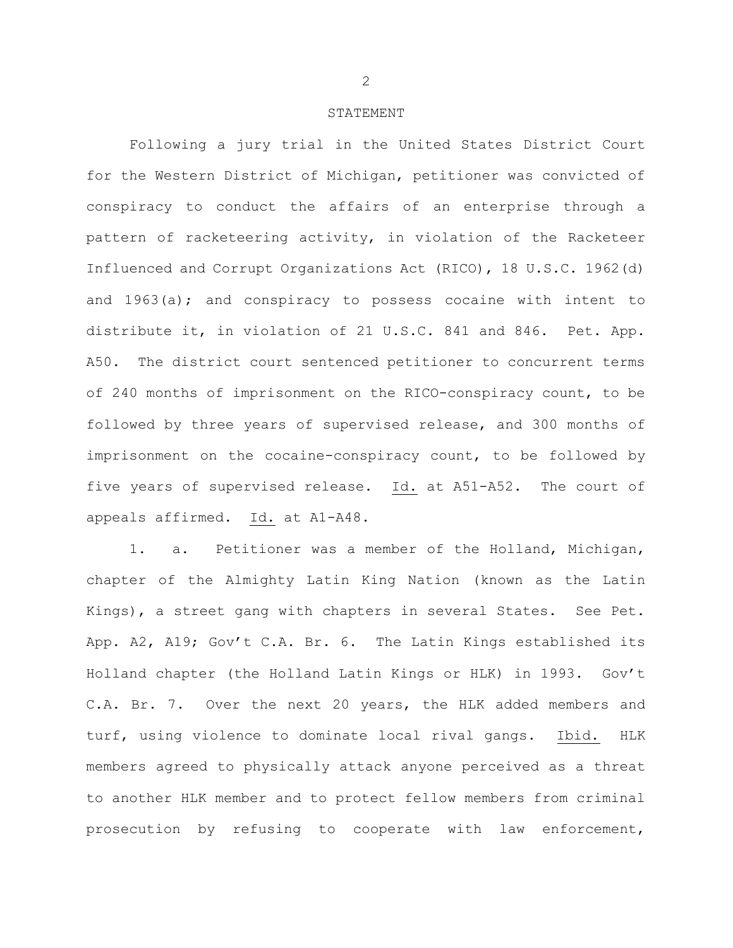#### STATEMENT

Following a jury trial in the United States District Court for the Western District of Michigan, petitioner was convicted of conspiracy to conduct the affairs of an enterprise through a pattern of racketeering activity, in violation of the Racketeer Influenced and Corrupt Organizations Act (RICO), 18 U.S.C. 1962(d) and 1963(a); and conspiracy to possess cocaine with intent to distribute it, in violation of 21 U.S.C. 841 and 846. Pet. App. A50. The district court sentenced petitioner to concurrent terms of 240 months of imprisonment on the RICO-conspiracy count, to be followed by three years of supervised release, and 300 months of imprisonment on the cocaine-conspiracy count, to be followed by five years of supervised release. Id. at A51-A52. The court of appeals affirmed. Id. at A1-A48.

1. a. Petitioner was a member of the Holland, Michigan, chapter of the Almighty Latin King Nation (known as the Latin Kings), a street gang with chapters in several States. See Pet. App. A2, A19; Gov't C.A. Br. 6. The Latin Kings established its Holland chapter (the Holland Latin Kings or HLK) in 1993. Gov't C.A. Br. 7. Over the next 20 years, the HLK added members and turf, using violence to dominate local rival gangs. Ibid. HLK members agreed to physically attack anyone perceived as a threat to another HLK member and to protect fellow members from criminal prosecution by refusing to cooperate with law enforcement,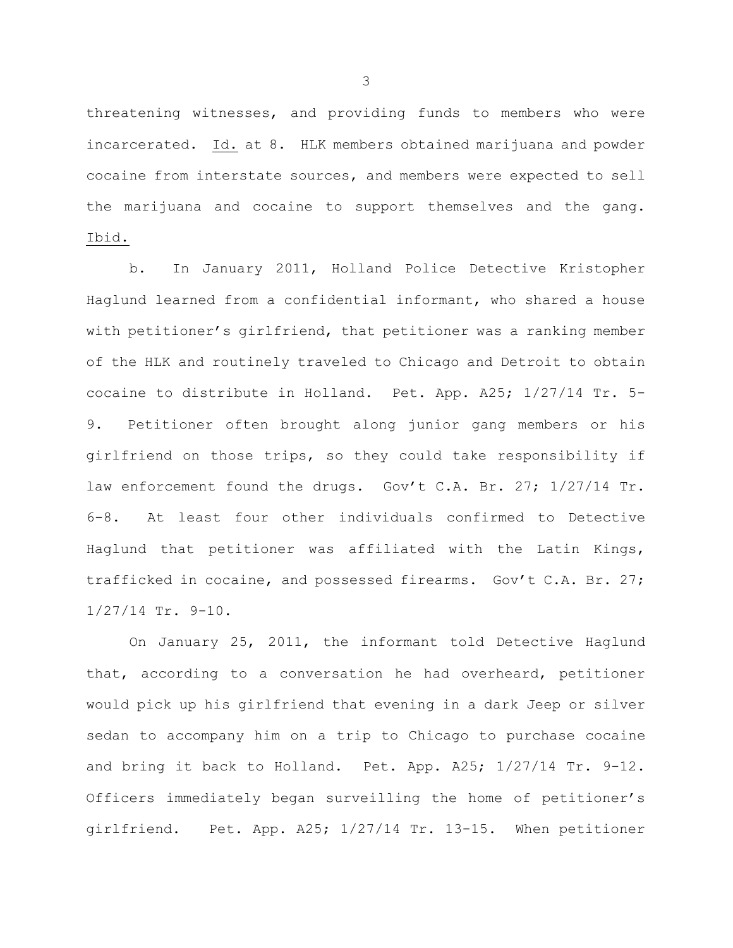threatening witnesses, and providing funds to members who were incarcerated. Id. at 8. HLK members obtained marijuana and powder cocaine from interstate sources, and members were expected to sell the marijuana and cocaine to support themselves and the gang. Ibid.

b. In January 2011, Holland Police Detective Kristopher Haglund learned from a confidential informant, who shared a house with petitioner's girlfriend, that petitioner was a ranking member of the HLK and routinely traveled to Chicago and Detroit to obtain cocaine to distribute in Holland. Pet. App. A25; 1/27/14 Tr. 5- 9. Petitioner often brought along junior gang members or his girlfriend on those trips, so they could take responsibility if law enforcement found the drugs. Gov't C.A. Br. 27; 1/27/14 Tr. 6-8. At least four other individuals confirmed to Detective Haglund that petitioner was affiliated with the Latin Kings, trafficked in cocaine, and possessed firearms. Gov't C.A. Br. 27; 1/27/14 Tr. 9-10.

On January 25, 2011, the informant told Detective Haglund that, according to a conversation he had overheard, petitioner would pick up his girlfriend that evening in a dark Jeep or silver sedan to accompany him on a trip to Chicago to purchase cocaine and bring it back to Holland. Pet. App. A25; 1/27/14 Tr. 9-12. Officers immediately began surveilling the home of petitioner's girlfriend. Pet. App. A25; 1/27/14 Tr. 13-15. When petitioner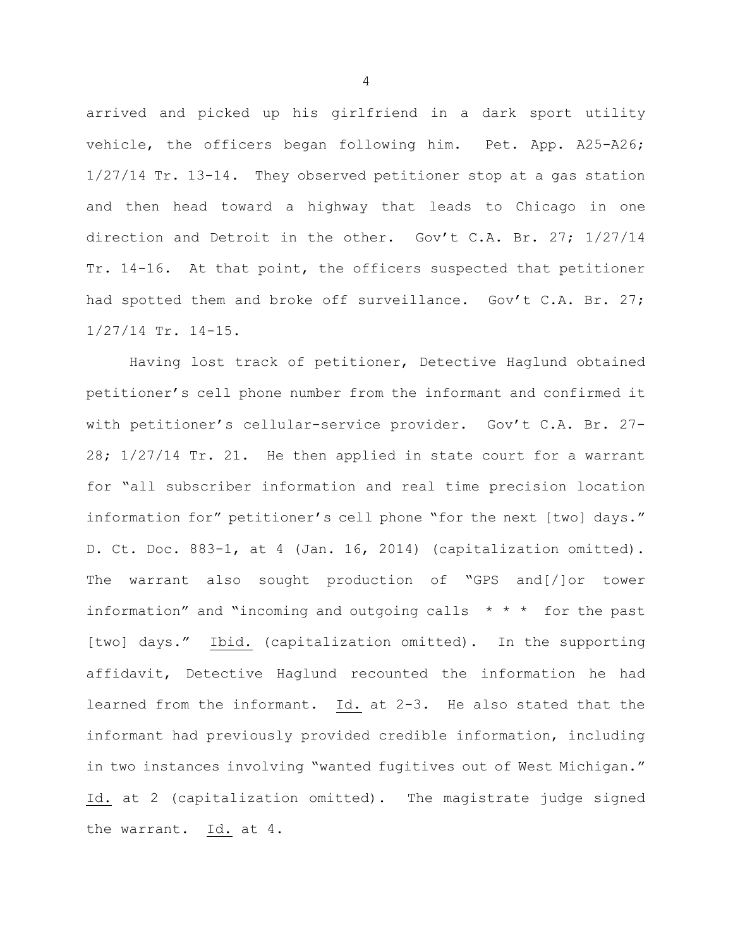arrived and picked up his girlfriend in a dark sport utility vehicle, the officers began following him. Pet. App. A25-A26; 1/27/14 Tr. 13-14. They observed petitioner stop at a gas station and then head toward a highway that leads to Chicago in one direction and Detroit in the other. Gov't C.A. Br. 27; 1/27/14 Tr. 14-16. At that point, the officers suspected that petitioner had spotted them and broke off surveillance. Gov't C.A. Br. 27; 1/27/14 Tr. 14-15.

Having lost track of petitioner, Detective Haglund obtained petitioner's cell phone number from the informant and confirmed it with petitioner's cellular-service provider. Gov't C.A. Br. 27- 28; 1/27/14 Tr. 21. He then applied in state court for a warrant for "all subscriber information and real time precision location information for" petitioner's cell phone "for the next [two] days." D. Ct. Doc. 883-1, at 4 (Jan. 16, 2014) (capitalization omitted). The warrant also sought production of "GPS and[/]or tower information" and "incoming and outgoing calls \* \* \* for the past [two] days." Ibid. (capitalization omitted). In the supporting affidavit, Detective Haglund recounted the information he had learned from the informant. Id. at 2-3. He also stated that the informant had previously provided credible information, including in two instances involving "wanted fugitives out of West Michigan." Id. at 2 (capitalization omitted). The magistrate judge signed the warrant. Id. at 4.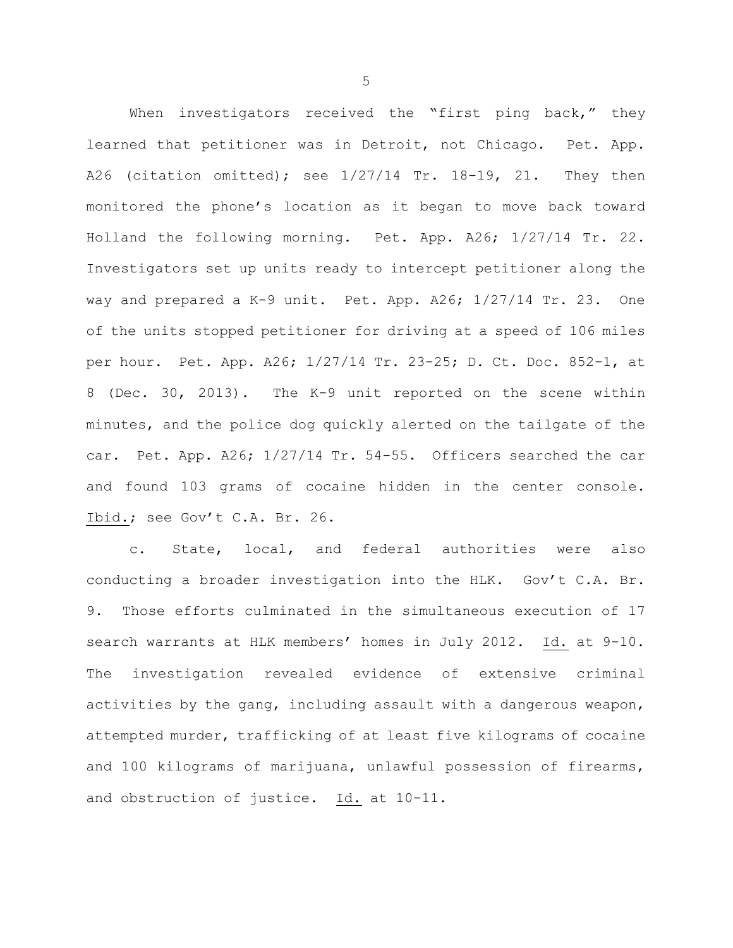When investigators received the "first ping back," they learned that petitioner was in Detroit, not Chicago. Pet. App. A26 (citation omitted); see 1/27/14 Tr. 18-19, 21. They then monitored the phone's location as it began to move back toward Holland the following morning. Pet. App. A26; 1/27/14 Tr. 22. Investigators set up units ready to intercept petitioner along the way and prepared a K-9 unit. Pet. App. A26; 1/27/14 Tr. 23. One of the units stopped petitioner for driving at a speed of 106 miles per hour. Pet. App. A26; 1/27/14 Tr. 23-25; D. Ct. Doc. 852-1, at 8 (Dec. 30, 2013). The K-9 unit reported on the scene within minutes, and the police dog quickly alerted on the tailgate of the car. Pet. App. A26; 1/27/14 Tr. 54-55. Officers searched the car and found 103 grams of cocaine hidden in the center console. Ibid.; see Gov't C.A. Br. 26.

c. State, local, and federal authorities were also conducting a broader investigation into the HLK. Gov't C.A. Br. 9. Those efforts culminated in the simultaneous execution of 17 search warrants at HLK members' homes in July 2012. Id. at 9-10. The investigation revealed evidence of extensive criminal activities by the gang, including assault with a dangerous weapon, attempted murder, trafficking of at least five kilograms of cocaine and 100 kilograms of marijuana, unlawful possession of firearms, and obstruction of justice. Id. at 10-11.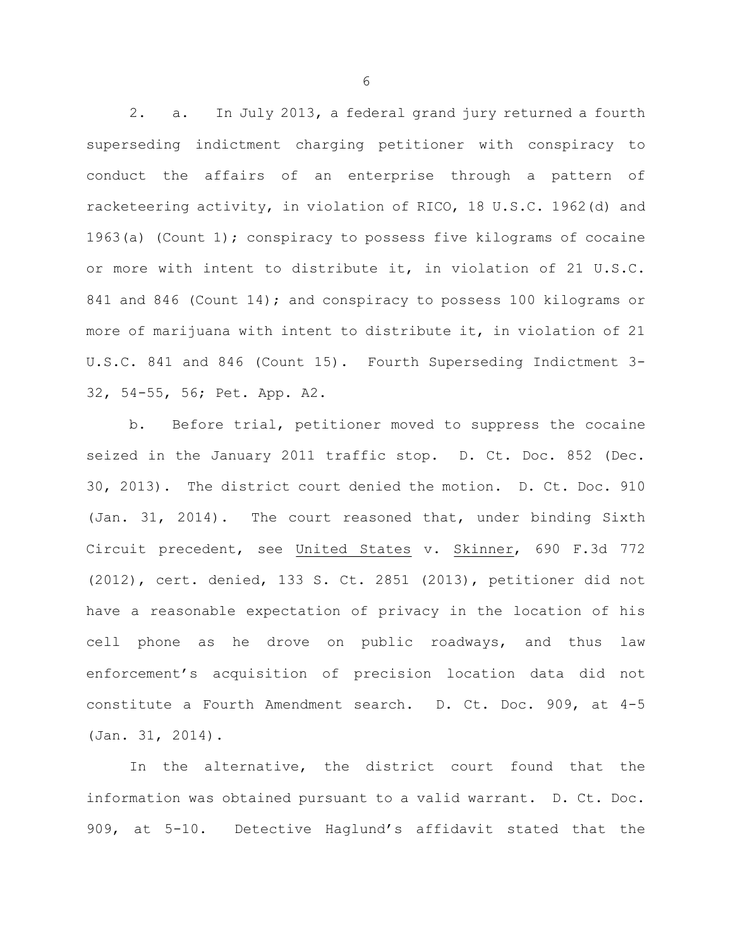2. a. In July 2013, a federal grand jury returned a fourth superseding indictment charging petitioner with conspiracy to conduct the affairs of an enterprise through a pattern of racketeering activity, in violation of RICO, 18 U.S.C. 1962(d) and 1963(a) (Count 1); conspiracy to possess five kilograms of cocaine or more with intent to distribute it, in violation of 21 U.S.C. 841 and 846 (Count 14); and conspiracy to possess 100 kilograms or more of marijuana with intent to distribute it, in violation of 21 U.S.C. 841 and 846 (Count 15). Fourth Superseding Indictment 3- 32, 54-55, 56; Pet. App. A2.

b. Before trial, petitioner moved to suppress the cocaine seized in the January 2011 traffic stop. D. Ct. Doc. 852 (Dec. 30, 2013). The district court denied the motion. D. Ct. Doc. 910 (Jan. 31, 2014). The court reasoned that, under binding Sixth Circuit precedent, see United States v. Skinner, 690 F.3d 772 (2012), cert. denied, 133 S. Ct. 2851 (2013), petitioner did not have a reasonable expectation of privacy in the location of his cell phone as he drove on public roadways, and thus law enforcement's acquisition of precision location data did not constitute a Fourth Amendment search. D. Ct. Doc. 909, at 4-5 (Jan. 31, 2014).

In the alternative, the district court found that the information was obtained pursuant to a valid warrant. D. Ct. Doc. 909, at 5-10. Detective Haglund's affidavit stated that the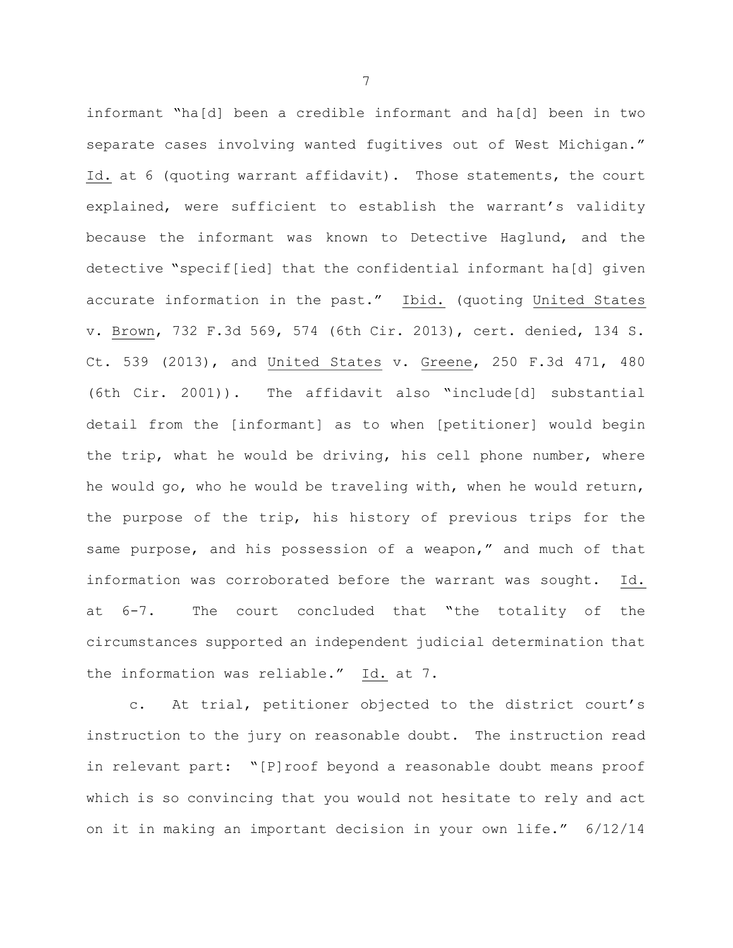informant "ha[d] been a credible informant and ha[d] been in two separate cases involving wanted fugitives out of West Michigan." Id. at 6 (quoting warrant affidavit). Those statements, the court explained, were sufficient to establish the warrant's validity because the informant was known to Detective Haglund, and the detective "specif[ied] that the confidential informant ha[d] given accurate information in the past." Ibid. (quoting United States v. Brown, 732 F.3d 569, 574 (6th Cir. 2013), cert. denied, 134 S. Ct. 539 (2013), and United States v. Greene, 250 F.3d 471, 480 (6th Cir. 2001)). The affidavit also "include[d] substantial detail from the [informant] as to when [petitioner] would begin the trip, what he would be driving, his cell phone number, where he would go, who he would be traveling with, when he would return, the purpose of the trip, his history of previous trips for the same purpose, and his possession of a weapon," and much of that information was corroborated before the warrant was sought. Id. at 6-7. The court concluded that "the totality of the circumstances supported an independent judicial determination that the information was reliable." Id. at 7.

c. At trial, petitioner objected to the district court's instruction to the jury on reasonable doubt. The instruction read in relevant part: "[P]roof beyond a reasonable doubt means proof which is so convincing that you would not hesitate to rely and act on it in making an important decision in your own life." 6/12/14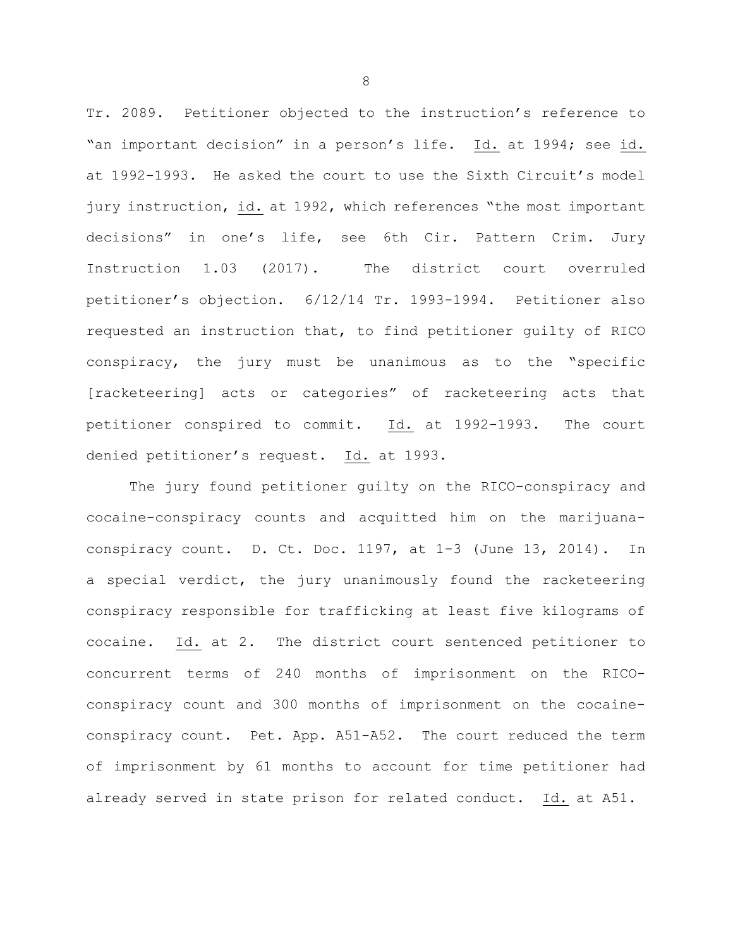Tr. 2089. Petitioner objected to the instruction's reference to "an important decision" in a person's life. Id. at 1994; see id. at 1992-1993. He asked the court to use the Sixth Circuit's model jury instruction, id. at 1992, which references "the most important decisions" in one's life, see 6th Cir. Pattern Crim. Jury Instruction 1.03 (2017). The district court overruled petitioner's objection. 6/12/14 Tr. 1993-1994. Petitioner also requested an instruction that, to find petitioner guilty of RICO conspiracy, the jury must be unanimous as to the "specific [racketeering] acts or categories" of racketeering acts that petitioner conspired to commit. Id. at 1992-1993. The court denied petitioner's request. Id. at 1993.

 The jury found petitioner guilty on the RICO-conspiracy and cocaine-conspiracy counts and acquitted him on the marijuanaconspiracy count. D. Ct. Doc. 1197, at 1-3 (June 13, 2014). In a special verdict, the jury unanimously found the racketeering conspiracy responsible for trafficking at least five kilograms of cocaine. Id. at 2. The district court sentenced petitioner to concurrent terms of 240 months of imprisonment on the RICOconspiracy count and 300 months of imprisonment on the cocaineconspiracy count. Pet. App. A51-A52. The court reduced the term of imprisonment by 61 months to account for time petitioner had already served in state prison for related conduct. Id. at A51.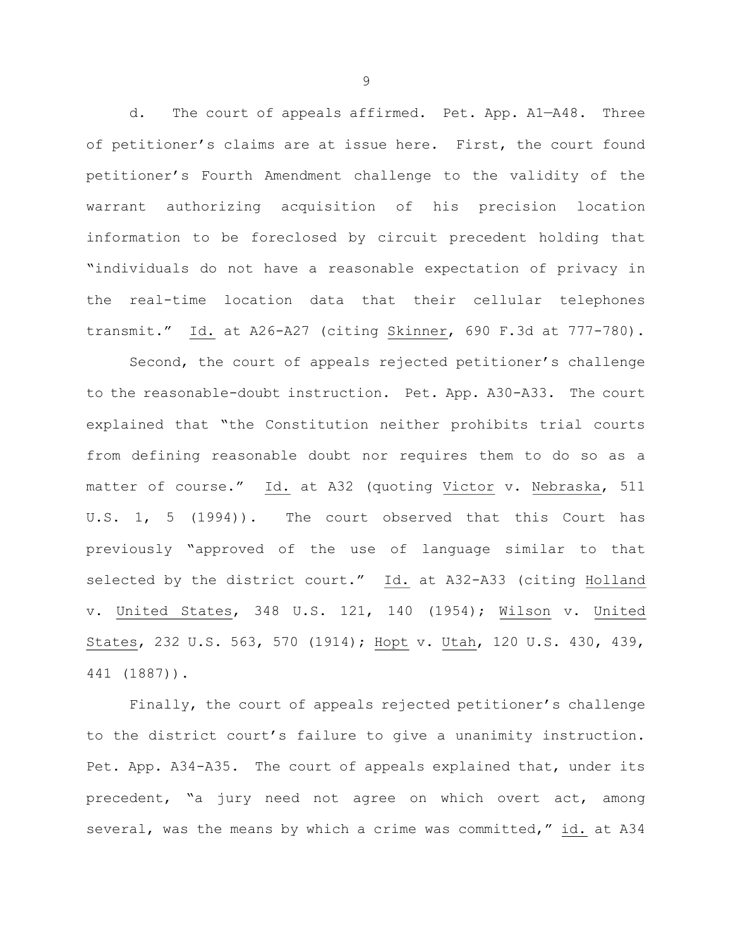d. The court of appeals affirmed. Pet. App. A1—A48. Three of petitioner's claims are at issue here. First, the court found petitioner's Fourth Amendment challenge to the validity of the warrant authorizing acquisition of his precision location information to be foreclosed by circuit precedent holding that "individuals do not have a reasonable expectation of privacy in the real-time location data that their cellular telephones transmit." Id. at A26-A27 (citing Skinner, 690 F.3d at 777-780).

Second, the court of appeals rejected petitioner's challenge to the reasonable-doubt instruction. Pet. App. A30-A33. The court explained that "the Constitution neither prohibits trial courts from defining reasonable doubt nor requires them to do so as a matter of course." Id. at A32 (quoting Victor v. Nebraska, 511 U.S. 1, 5 (1994)). The court observed that this Court has previously "approved of the use of language similar to that selected by the district court." Id. at A32-A33 (citing Holland v. United States, 348 U.S. 121, 140 (1954); Wilson v. United States, 232 U.S. 563, 570 (1914); Hopt v. Utah, 120 U.S. 430, 439, 441 (1887)).

Finally, the court of appeals rejected petitioner's challenge to the district court's failure to give a unanimity instruction. Pet. App. A34-A35. The court of appeals explained that, under its precedent, "a jury need not agree on which overt act, among several, was the means by which a crime was committed," id. at A34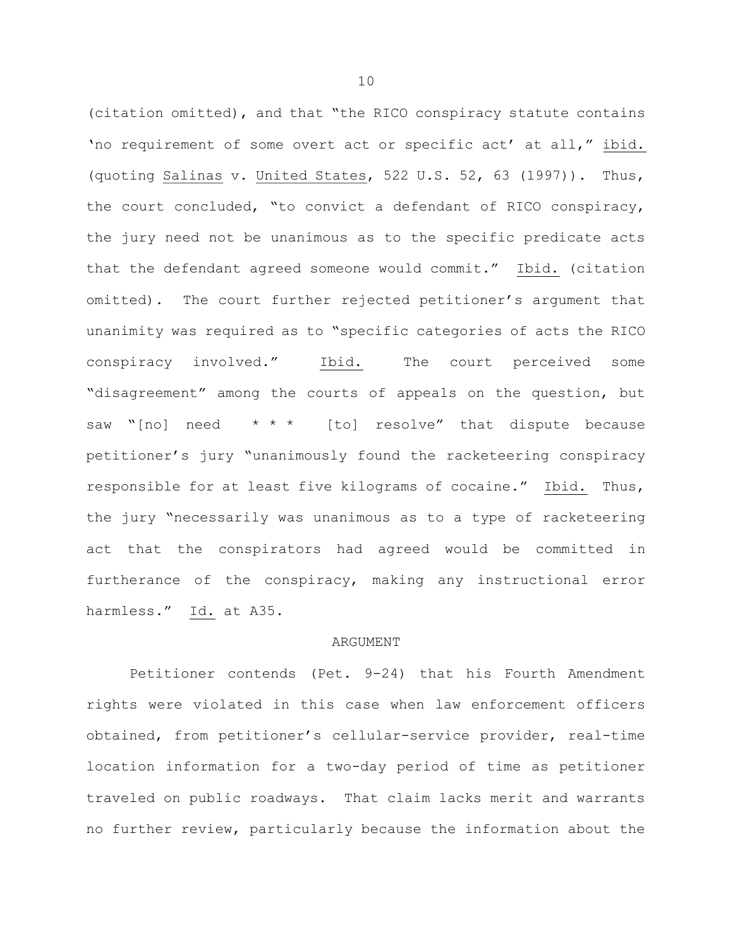(citation omitted), and that "the RICO conspiracy statute contains 'no requirement of some overt act or specific act' at all," ibid. (quoting Salinas v. United States, 522 U.S. 52, 63 (1997)). Thus, the court concluded, "to convict a defendant of RICO conspiracy, the jury need not be unanimous as to the specific predicate acts that the defendant agreed someone would commit." Ibid. (citation omitted). The court further rejected petitioner's argument that unanimity was required as to "specific categories of acts the RICO conspiracy involved." Ibid. The court perceived some "disagreement" among the courts of appeals on the question, but saw "[no] need  $* * *$  [to] resolve" that dispute because petitioner's jury "unanimously found the racketeering conspiracy responsible for at least five kilograms of cocaine." Ibid. Thus, the jury "necessarily was unanimous as to a type of racketeering act that the conspirators had agreed would be committed in furtherance of the conspiracy, making any instructional error harmless." Id. at A35.

## ARGUMENT

Petitioner contends (Pet. 9-24) that his Fourth Amendment rights were violated in this case when law enforcement officers obtained, from petitioner's cellular-service provider, real-time location information for a two-day period of time as petitioner traveled on public roadways. That claim lacks merit and warrants no further review, particularly because the information about the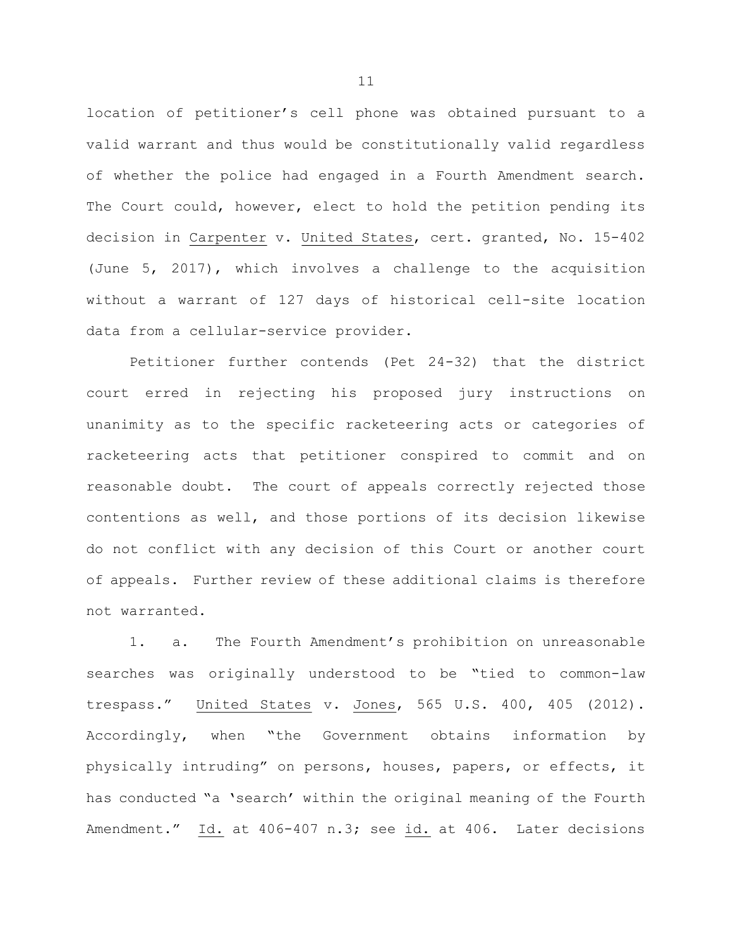location of petitioner's cell phone was obtained pursuant to a valid warrant and thus would be constitutionally valid regardless of whether the police had engaged in a Fourth Amendment search. The Court could, however, elect to hold the petition pending its decision in Carpenter v. United States, cert. granted, No. 15-402 (June 5, 2017), which involves a challenge to the acquisition without a warrant of 127 days of historical cell-site location data from a cellular-service provider.

Petitioner further contends (Pet 24-32) that the district court erred in rejecting his proposed jury instructions on unanimity as to the specific racketeering acts or categories of racketeering acts that petitioner conspired to commit and on reasonable doubt. The court of appeals correctly rejected those contentions as well, and those portions of its decision likewise do not conflict with any decision of this Court or another court of appeals. Further review of these additional claims is therefore not warranted.

1. a. The Fourth Amendment's prohibition on unreasonable searches was originally understood to be "tied to common-law trespass." United States v. Jones, 565 U.S. 400, 405 (2012). Accordingly, when "the Government obtains information by physically intruding" on persons, houses, papers, or effects, it has conducted "a 'search' within the original meaning of the Fourth Amendment." Id. at 406-407 n.3; see id. at 406. Later decisions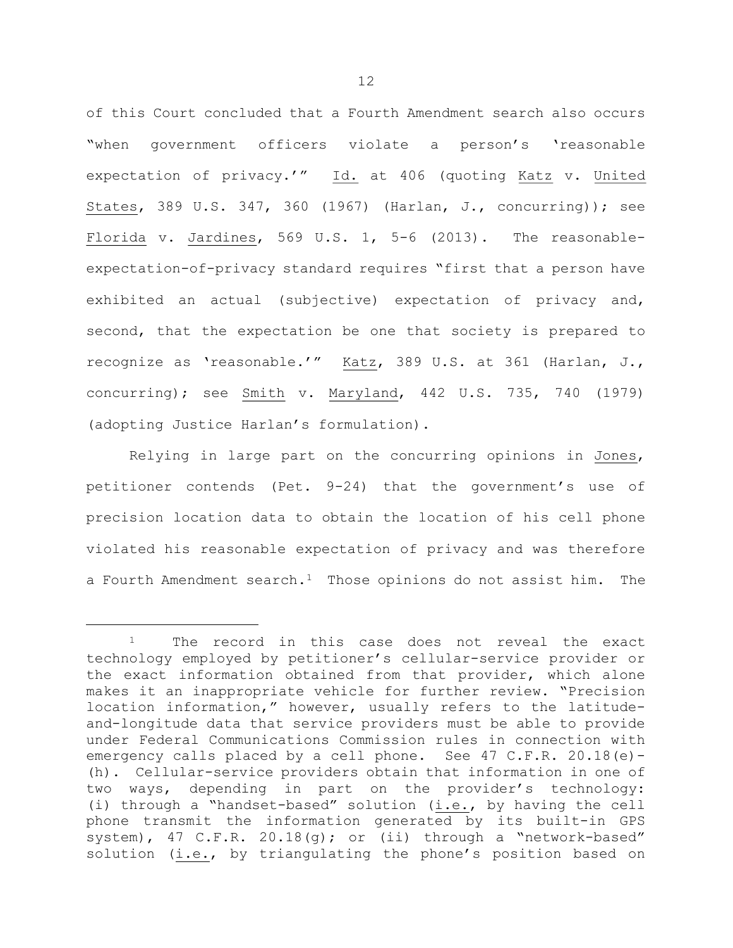of this Court concluded that a Fourth Amendment search also occurs "when government officers violate a person's 'reasonable expectation of privacy.'" Id. at 406 (quoting Katz v. United States, 389 U.S. 347, 360 (1967) (Harlan, J., concurring)); see Florida v. Jardines, 569 U.S. 1, 5-6 (2013). The reasonableexpectation-of-privacy standard requires "first that a person have exhibited an actual (subjective) expectation of privacy and, second, that the expectation be one that society is prepared to recognize as 'reasonable.'" Katz, 389 U.S. at 361 (Harlan, J., concurring); see Smith v. Maryland, 442 U.S. 735, 740 (1979) (adopting Justice Harlan's formulation).

Relying in large part on the concurring opinions in Jones, petitioner contends (Pet. 9-24) that the government's use of precision location data to obtain the location of his cell phone violated his reasonable expectation of privacy and was therefore a Fourth Amendment search.<sup>1</sup> Those opinions do not assist him. The

<sup>&</sup>lt;sup>1</sup> The record in this case does not reveal the exact technology employed by petitioner's cellular-service provider or the exact information obtained from that provider, which alone makes it an inappropriate vehicle for further review. "Precision location information," however, usually refers to the latitudeand-longitude data that service providers must be able to provide under Federal Communications Commission rules in connection with emergency calls placed by a cell phone. See 47 C.F.R. 20.18(e)- (h). Cellular-service providers obtain that information in one of two ways, depending in part on the provider's technology: (i) through a "handset-based" solution (i.e., by having the cell phone transmit the information generated by its built-in GPS system), 47 C.F.R. 20.18(g); or (ii) through a "network-based" solution (i.e., by triangulating the phone's position based on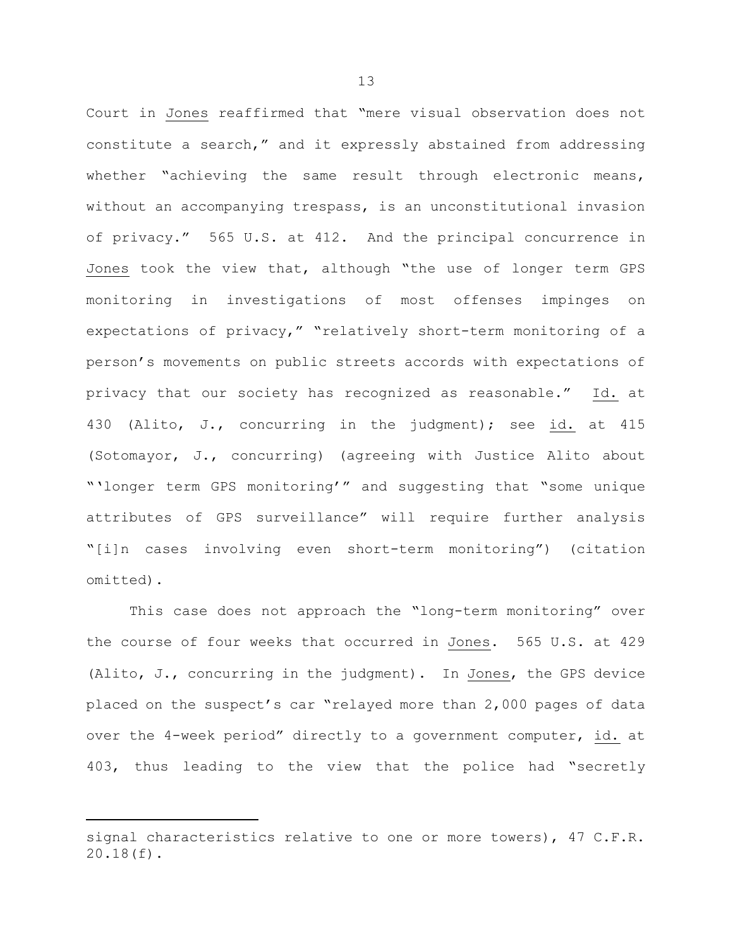Court in Jones reaffirmed that "mere visual observation does not constitute a search," and it expressly abstained from addressing whether "achieving the same result through electronic means, without an accompanying trespass, is an unconstitutional invasion of privacy." 565 U.S. at 412. And the principal concurrence in Jones took the view that, although "the use of longer term GPS monitoring in investigations of most offenses impinges on expectations of privacy," "relatively short-term monitoring of a person's movements on public streets accords with expectations of privacy that our society has recognized as reasonable." Id. at 430 (Alito, J., concurring in the judgment); see id. at 415 (Sotomayor, J., concurring) (agreeing with Justice Alito about "'longer term GPS monitoring'" and suggesting that "some unique attributes of GPS surveillance" will require further analysis "[i]n cases involving even short-term monitoring") (citation omitted).

This case does not approach the "long-term monitoring" over the course of four weeks that occurred in Jones. 565 U.S. at 429 (Alito, J., concurring in the judgment). In Jones, the GPS device placed on the suspect's car "relayed more than 2,000 pages of data over the 4-week period" directly to a government computer, id. at 403, thus leading to the view that the police had "secretly

signal characteristics relative to one or more towers), 47 C.F.R. 20.18(f).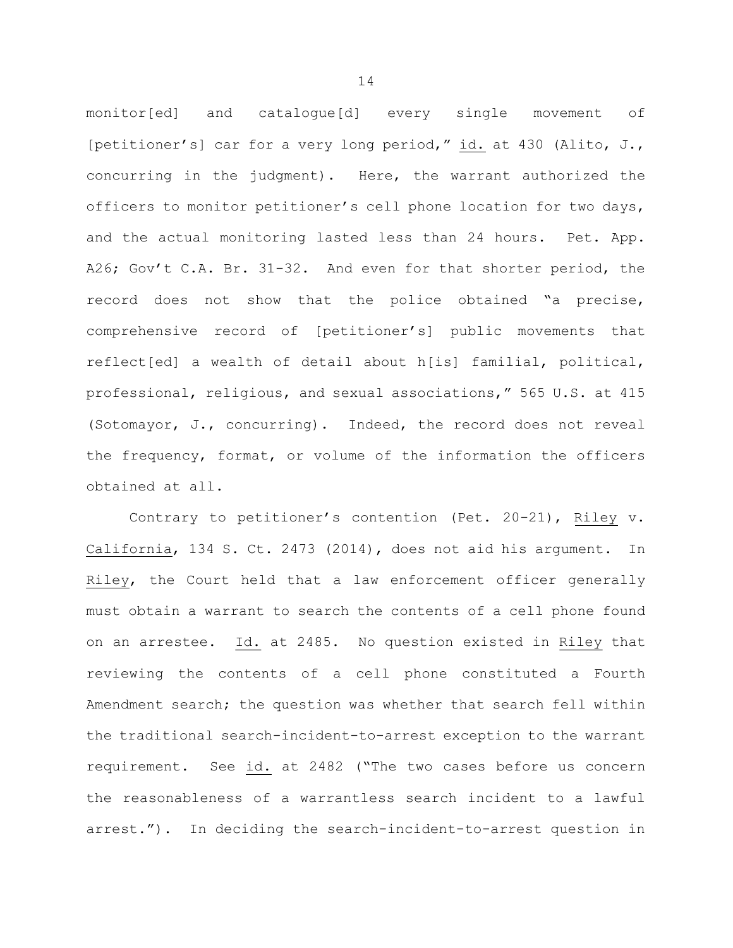monitor[ed] and catalogue[d] every single movement of [petitioner's] car for a very long period," id. at 430 (Alito, J., concurring in the judgment). Here, the warrant authorized the officers to monitor petitioner's cell phone location for two days, and the actual monitoring lasted less than 24 hours. Pet. App. A26; Gov't C.A. Br. 31-32. And even for that shorter period, the record does not show that the police obtained "a precise, comprehensive record of [petitioner's] public movements that reflect[ed] a wealth of detail about h[is] familial, political, professional, religious, and sexual associations," 565 U.S. at 415 (Sotomayor, J., concurring). Indeed, the record does not reveal the frequency, format, or volume of the information the officers obtained at all.

Contrary to petitioner's contention (Pet. 20-21), Riley v. California, 134 S. Ct. 2473 (2014), does not aid his argument. In Riley, the Court held that a law enforcement officer generally must obtain a warrant to search the contents of a cell phone found on an arrestee. Id. at 2485. No question existed in Riley that reviewing the contents of a cell phone constituted a Fourth Amendment search; the question was whether that search fell within the traditional search-incident-to-arrest exception to the warrant requirement. See id. at 2482 ("The two cases before us concern the reasonableness of a warrantless search incident to a lawful arrest."). In deciding the search-incident-to-arrest question in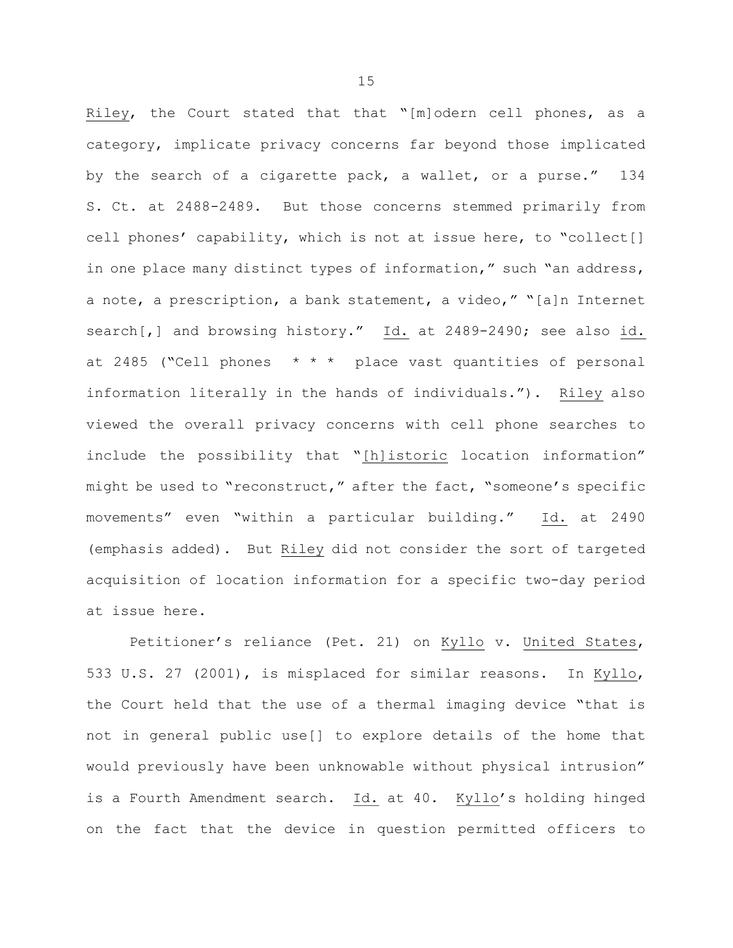Riley, the Court stated that that "[m]odern cell phones, as a category, implicate privacy concerns far beyond those implicated by the search of a cigarette pack, a wallet, or a purse." 134 S. Ct. at 2488-2489. But those concerns stemmed primarily from cell phones' capability, which is not at issue here, to "collect[] in one place many distinct types of information," such "an address, a note, a prescription, a bank statement, a video," "[a]n Internet search[,] and browsing history." Id. at 2489-2490; see also id. at 2485 ("Cell phones \* \* \* place vast quantities of personal information literally in the hands of individuals."). Riley also viewed the overall privacy concerns with cell phone searches to include the possibility that "[h]istoric location information" might be used to "reconstruct," after the fact, "someone's specific movements" even "within a particular building." Id. at 2490 (emphasis added). But Riley did not consider the sort of targeted acquisition of location information for a specific two-day period at issue here.

Petitioner's reliance (Pet. 21) on Kyllo v. United States, 533 U.S. 27 (2001), is misplaced for similar reasons. In Kyllo, the Court held that the use of a thermal imaging device "that is not in general public use[] to explore details of the home that would previously have been unknowable without physical intrusion" is a Fourth Amendment search. Id. at 40. Kyllo's holding hinged on the fact that the device in question permitted officers to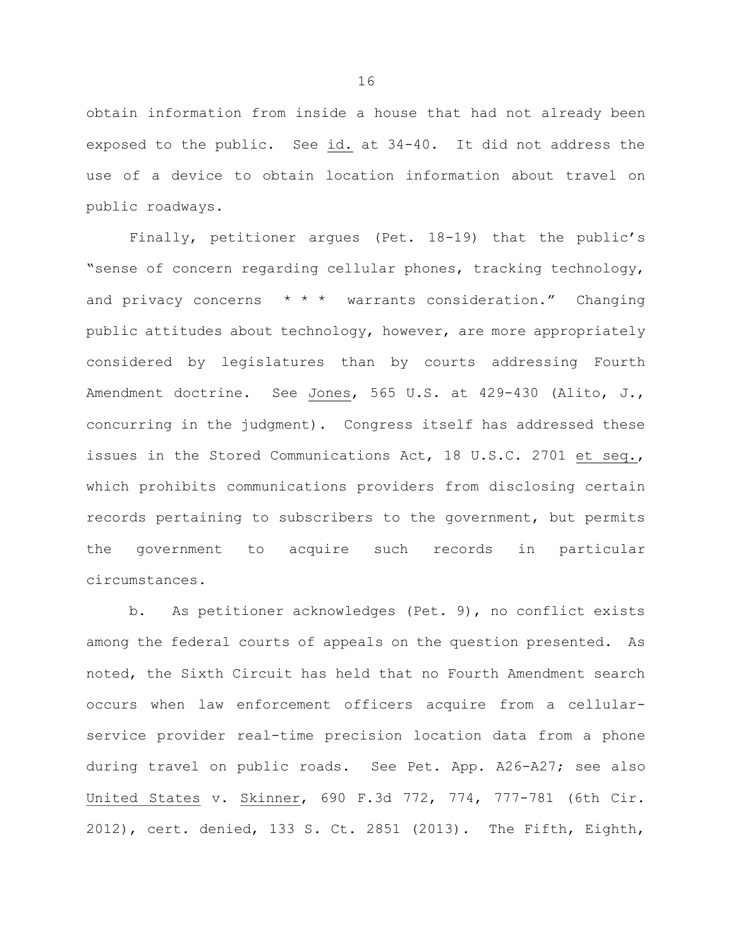obtain information from inside a house that had not already been exposed to the public. See id. at 34-40. It did not address the use of a device to obtain location information about travel on public roadways.

Finally, petitioner argues (Pet. 18-19) that the public's "sense of concern regarding cellular phones, tracking technology, and privacy concerns  $* * *$  warrants consideration." Changing public attitudes about technology, however, are more appropriately considered by legislatures than by courts addressing Fourth Amendment doctrine. See Jones, 565 U.S. at 429-430 (Alito, J., concurring in the judgment). Congress itself has addressed these issues in the Stored Communications Act, 18 U.S.C. 2701 et seq., which prohibits communications providers from disclosing certain records pertaining to subscribers to the government, but permits the government to acquire such records in particular circumstances.

b. As petitioner acknowledges (Pet. 9), no conflict exists among the federal courts of appeals on the question presented. As noted, the Sixth Circuit has held that no Fourth Amendment search occurs when law enforcement officers acquire from a cellularservice provider real-time precision location data from a phone during travel on public roads. See Pet. App. A26-A27; see also United States v. Skinner, 690 F.3d 772, 774, 777-781 (6th Cir. 2012), cert. denied, 133 S. Ct. 2851 (2013). The Fifth, Eighth,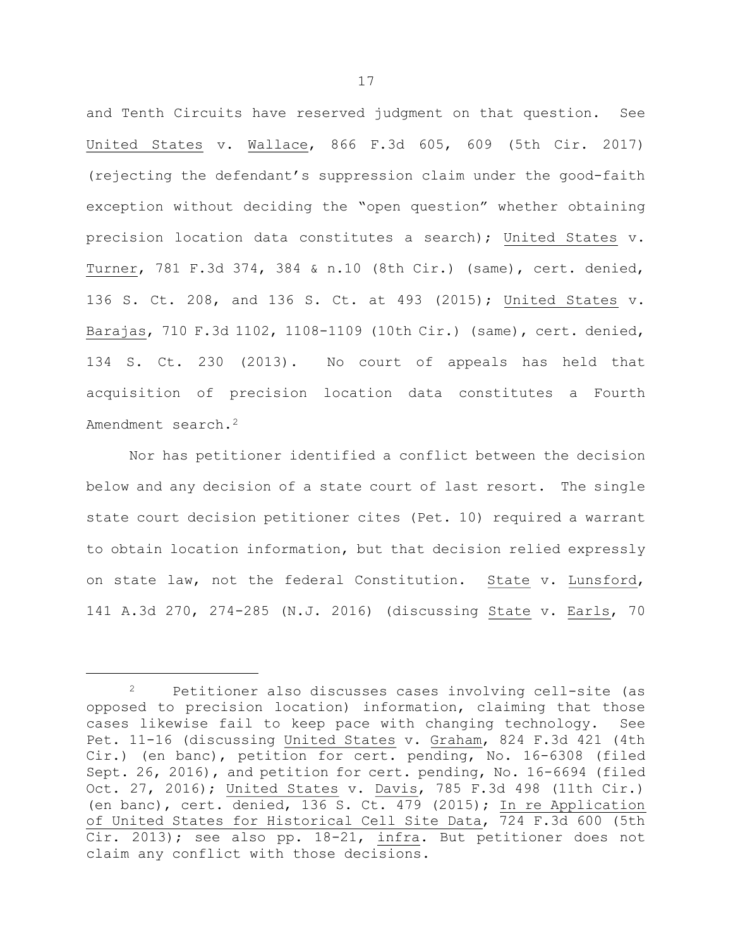and Tenth Circuits have reserved judgment on that question. See United States v. Wallace, 866 F.3d 605, 609 (5th Cir. 2017) (rejecting the defendant's suppression claim under the good-faith exception without deciding the "open question" whether obtaining precision location data constitutes a search); United States v. Turner, 781 F.3d 374, 384 & n.10 (8th Cir.) (same), cert. denied, 136 S. Ct. 208, and 136 S. Ct. at 493 (2015); United States v. Barajas, 710 F.3d 1102, 1108-1109 (10th Cir.) (same), cert. denied, 134 S. Ct. 230 (2013). No court of appeals has held that acquisition of precision location data constitutes a Fourth Amendment search.<sup>2</sup>

Nor has petitioner identified a conflict between the decision below and any decision of a state court of last resort. The single state court decision petitioner cites (Pet. 10) required a warrant to obtain location information, but that decision relied expressly on state law, not the federal Constitution. State v. Lunsford, 141 A.3d 270, 274-285 (N.J. 2016) (discussing State v. Earls, 70

i

<sup>2</sup> Petitioner also discusses cases involving cell-site (as opposed to precision location) information, claiming that those cases likewise fail to keep pace with changing technology. See Pet. 11-16 (discussing United States v. Graham, 824 F.3d 421 (4th Cir.) (en banc), petition for cert. pending, No. 16-6308 (filed Sept. 26, 2016), and petition for cert. pending, No. 16-6694 (filed Oct. 27, 2016); United States v. Davis, 785 F.3d 498 (11th Cir.) (en banc), cert. denied, 136 S. Ct. 479 (2015); In re Application of United States for Historical Cell Site Data, 724 F.3d 600 (5th Cir. 2013); see also pp. 18-21, infra. But petitioner does not claim any conflict with those decisions.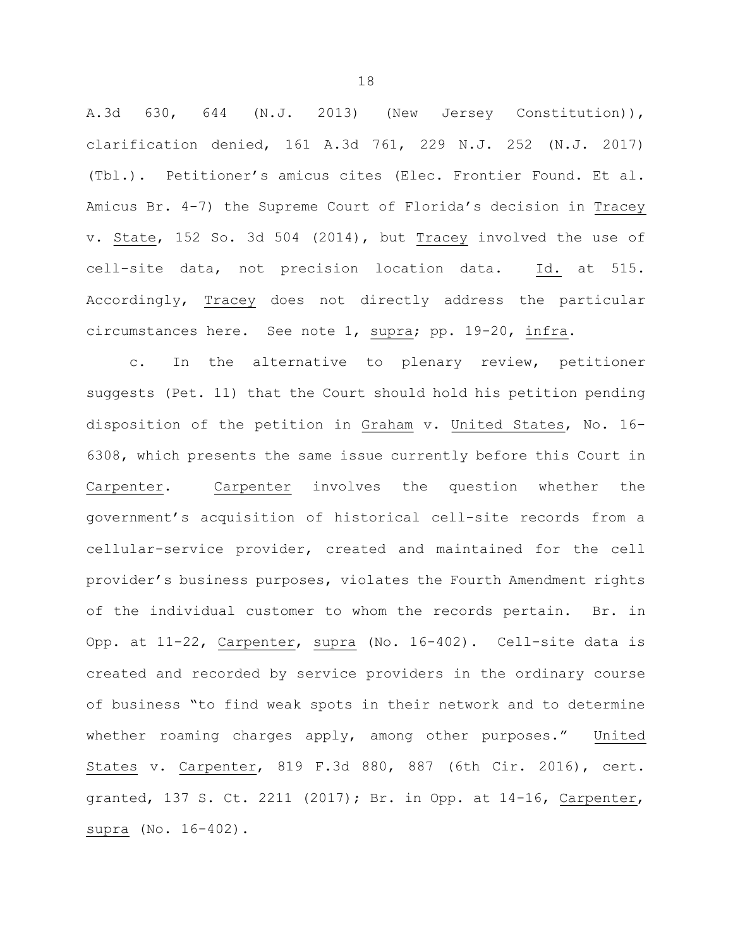A.3d 630, 644 (N.J. 2013) (New Jersey Constitution)), clarification denied, 161 A.3d 761, 229 N.J. 252 (N.J. 2017) (Tbl.). Petitioner's amicus cites (Elec. Frontier Found. Et al. Amicus Br. 4-7) the Supreme Court of Florida's decision in Tracey v. State, 152 So. 3d 504 (2014), but Tracey involved the use of cell-site data, not precision location data. Id. at 515. Accordingly, Tracey does not directly address the particular circumstances here. See note 1, supra; pp. 19-20, infra.

c. In the alternative to plenary review, petitioner suggests (Pet. 11) that the Court should hold his petition pending disposition of the petition in Graham v. United States, No. 16- 6308, which presents the same issue currently before this Court in Carpenter. Carpenter involves the question whether the government's acquisition of historical cell-site records from a cellular-service provider, created and maintained for the cell provider's business purposes, violates the Fourth Amendment rights of the individual customer to whom the records pertain. Br. in Opp. at 11-22, Carpenter, supra (No. 16-402). Cell-site data is created and recorded by service providers in the ordinary course of business "to find weak spots in their network and to determine whether roaming charges apply, among other purposes." United States v. Carpenter, 819 F.3d 880, 887 (6th Cir. 2016), cert. granted, 137 S. Ct. 2211 (2017); Br. in Opp. at 14-16, Carpenter, supra (No. 16-402).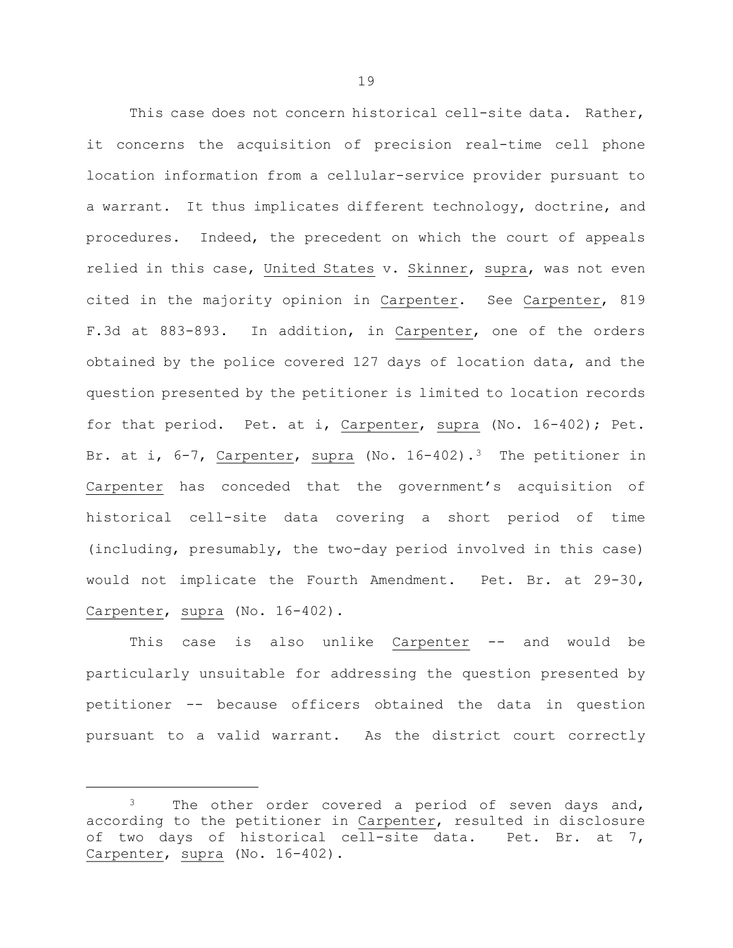This case does not concern historical cell-site data. Rather, it concerns the acquisition of precision real-time cell phone location information from a cellular-service provider pursuant to a warrant. It thus implicates different technology, doctrine, and procedures. Indeed, the precedent on which the court of appeals relied in this case, United States v. Skinner, supra, was not even cited in the majority opinion in Carpenter. See Carpenter, 819 F.3d at 883-893. In addition, in Carpenter, one of the orders obtained by the police covered 127 days of location data, and the question presented by the petitioner is limited to location records for that period. Pet. at i, Carpenter, supra (No. 16-402); Pet. Br. at i,  $6-7$ , Carpenter, supra (No. 16-402).<sup>3</sup> The petitioner in Carpenter has conceded that the government's acquisition of historical cell-site data covering a short period of time (including, presumably, the two-day period involved in this case) would not implicate the Fourth Amendment. Pet. Br. at 29-30, Carpenter, supra (No. 16-402).

This case is also unlike Carpenter -- and would be particularly unsuitable for addressing the question presented by petitioner -- because officers obtained the data in question pursuant to a valid warrant. As the district court correctly

÷,

<sup>&</sup>lt;sup>3</sup> The other order covered a period of seven days and, according to the petitioner in Carpenter, resulted in disclosure of two days of historical cell-site data. Pet. Br. at 7, Carpenter, supra (No. 16-402).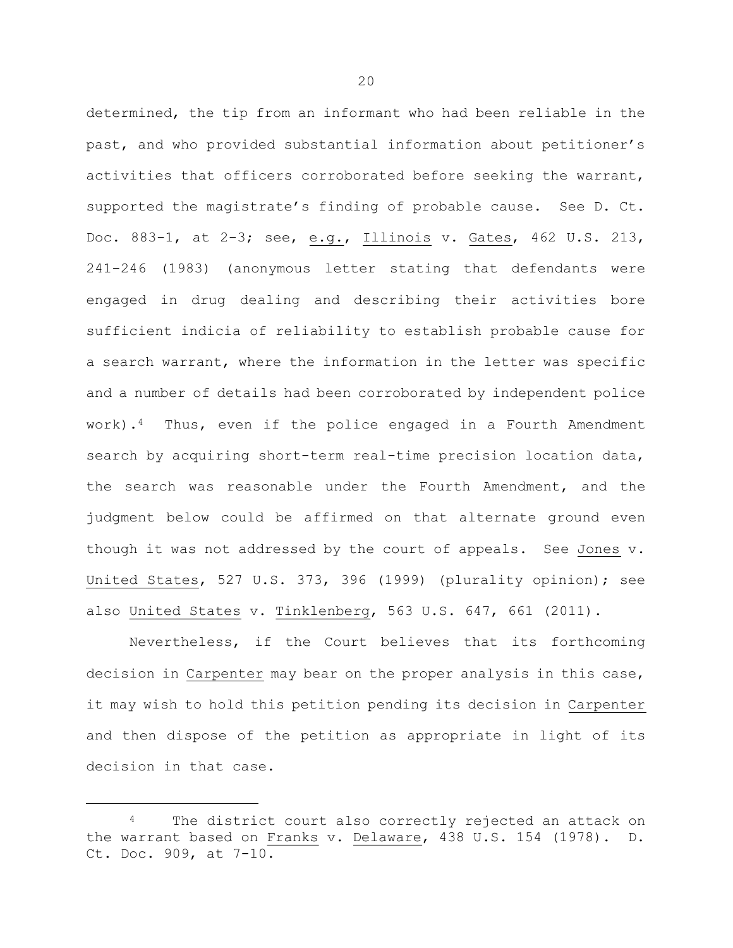determined, the tip from an informant who had been reliable in the past, and who provided substantial information about petitioner's activities that officers corroborated before seeking the warrant, supported the magistrate's finding of probable cause. See D. Ct. Doc. 883-1, at 2-3; see, e.g., Illinois v. Gates, 462 U.S. 213, 241-246 (1983) (anonymous letter stating that defendants were engaged in drug dealing and describing their activities bore sufficient indicia of reliability to establish probable cause for a search warrant, where the information in the letter was specific and a number of details had been corroborated by independent police work).<sup>4</sup> Thus, even if the police engaged in a Fourth Amendment search by acquiring short-term real-time precision location data, the search was reasonable under the Fourth Amendment, and the judgment below could be affirmed on that alternate ground even though it was not addressed by the court of appeals. See Jones v. United States, 527 U.S. 373, 396 (1999) (plurality opinion); see also United States v. Tinklenberg, 563 U.S. 647, 661 (2011).

Nevertheless, if the Court believes that its forthcoming decision in Carpenter may bear on the proper analysis in this case, it may wish to hold this petition pending its decision in Carpenter and then dispose of the petition as appropriate in light of its decision in that case.

÷,

The district court also correctly rejected an attack on the warrant based on Franks v. Delaware, 438 U.S. 154 (1978). D. Ct. Doc. 909, at 7-10.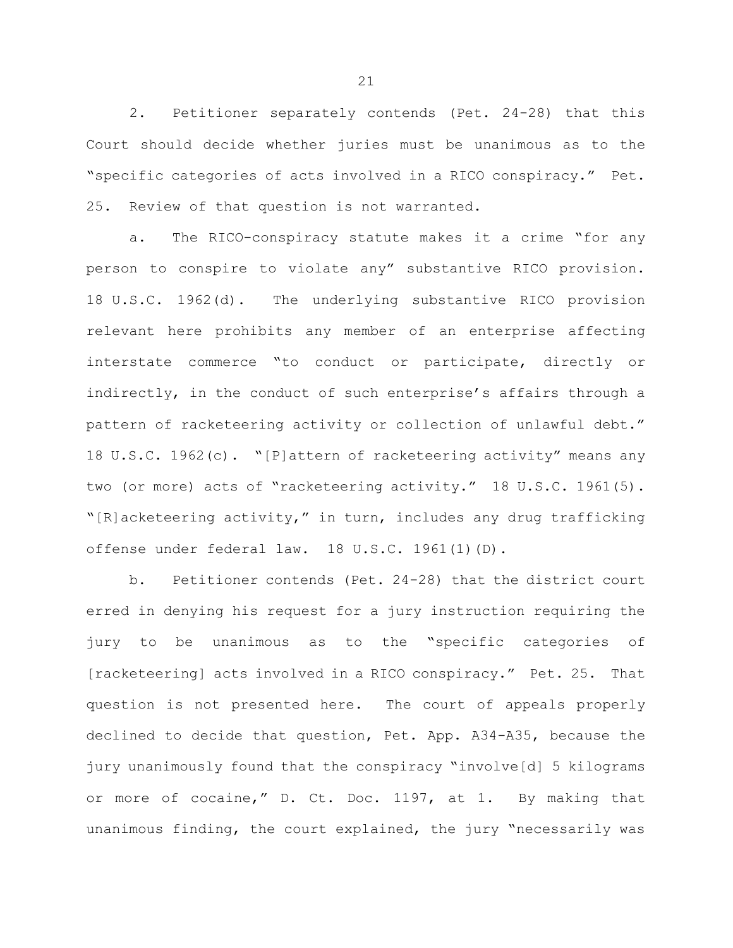2. Petitioner separately contends (Pet. 24-28) that this Court should decide whether juries must be unanimous as to the "specific categories of acts involved in a RICO conspiracy." Pet. 25. Review of that question is not warranted.

a. The RICO-conspiracy statute makes it a crime "for any person to conspire to violate any" substantive RICO provision. 18 U.S.C. 1962(d). The underlying substantive RICO provision relevant here prohibits any member of an enterprise affecting interstate commerce "to conduct or participate, directly or indirectly, in the conduct of such enterprise's affairs through a pattern of racketeering activity or collection of unlawful debt." 18 U.S.C. 1962(c). "[P]attern of racketeering activity" means any two (or more) acts of "racketeering activity." 18 U.S.C. 1961(5). "[R]acketeering activity," in turn, includes any drug trafficking offense under federal law. 18 U.S.C. 1961(1)(D).

b. Petitioner contends (Pet. 24-28) that the district court erred in denying his request for a jury instruction requiring the jury to be unanimous as to the "specific categories of [racketeering] acts involved in a RICO conspiracy." Pet. 25. That question is not presented here. The court of appeals properly declined to decide that question, Pet. App. A34-A35, because the jury unanimously found that the conspiracy "involve[d] 5 kilograms or more of cocaine," D. Ct. Doc. 1197, at 1. By making that unanimous finding, the court explained, the jury "necessarily was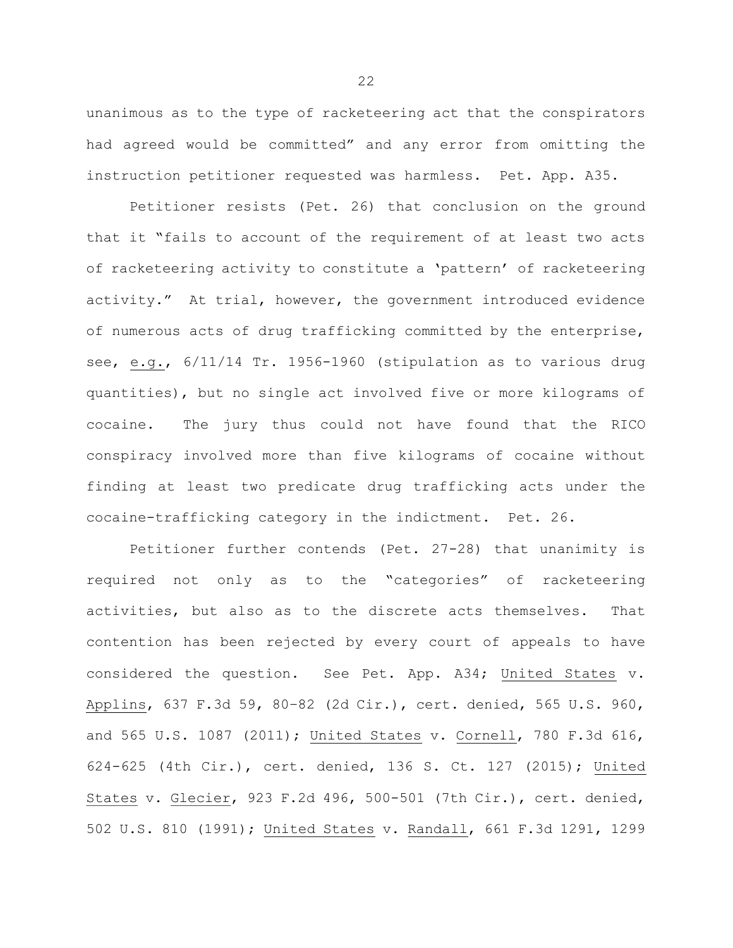unanimous as to the type of racketeering act that the conspirators had agreed would be committed" and any error from omitting the instruction petitioner requested was harmless. Pet. App. A35.

Petitioner resists (Pet. 26) that conclusion on the ground that it "fails to account of the requirement of at least two acts of racketeering activity to constitute a 'pattern' of racketeering activity." At trial, however, the government introduced evidence of numerous acts of drug trafficking committed by the enterprise, see, e.g., 6/11/14 Tr. 1956-1960 (stipulation as to various drug quantities), but no single act involved five or more kilograms of cocaine. The jury thus could not have found that the RICO conspiracy involved more than five kilograms of cocaine without finding at least two predicate drug trafficking acts under the cocaine-trafficking category in the indictment. Pet. 26.

Petitioner further contends (Pet. 27-28) that unanimity is required not only as to the "categories" of racketeering activities, but also as to the discrete acts themselves. That contention has been rejected by every court of appeals to have considered the question. See Pet. App. A34; United States v. Applins, 637 F.3d 59, 80–82 (2d Cir.), cert. denied, 565 U.S. 960, and 565 U.S. 1087 (2011); United States v. Cornell, 780 F.3d 616, 624-625 (4th Cir.), cert. denied, 136 S. Ct. 127 (2015); United States v. Glecier, 923 F.2d 496, 500-501 (7th Cir.), cert. denied, 502 U.S. 810 (1991); United States v. Randall, 661 F.3d 1291, 1299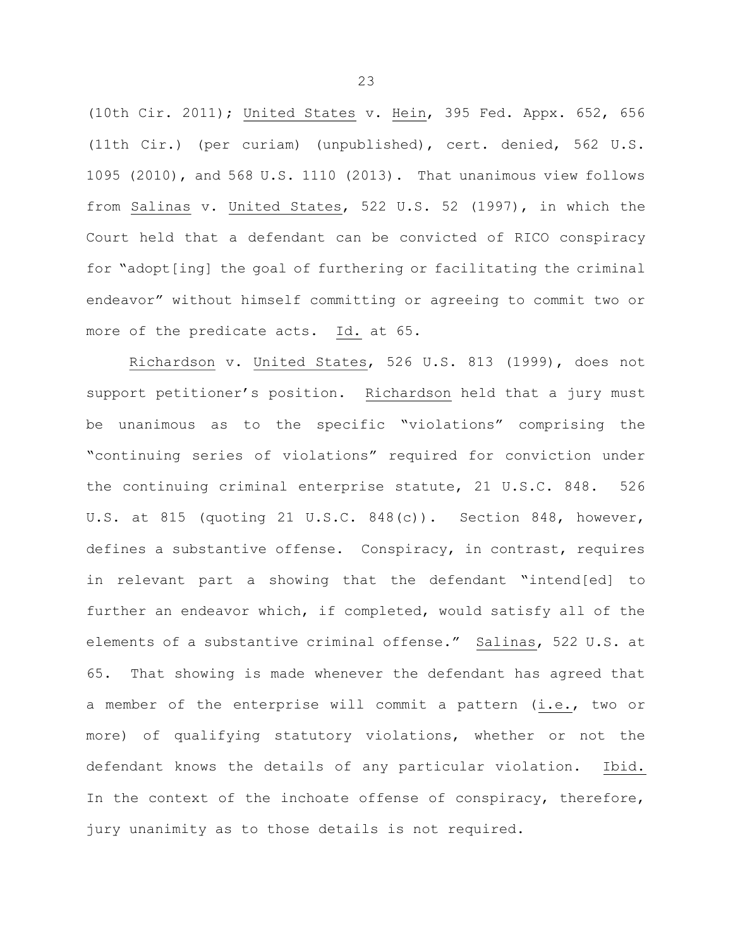(10th Cir. 2011); United States v. Hein, 395 Fed. Appx. 652, 656 (11th Cir.) (per curiam) (unpublished), cert. denied, 562 U.S. 1095 (2010), and 568 U.S. 1110 (2013). That unanimous view follows from Salinas v. United States, 522 U.S. 52 (1997), in which the Court held that a defendant can be convicted of RICO conspiracy for "adopt[ing] the goal of furthering or facilitating the criminal endeavor" without himself committing or agreeing to commit two or more of the predicate acts. Id. at 65.

Richardson v. United States, 526 U.S. 813 (1999), does not support petitioner's position. Richardson held that a jury must be unanimous as to the specific "violations" comprising the "continuing series of violations" required for conviction under the continuing criminal enterprise statute, 21 U.S.C. 848. 526 U.S. at 815 (quoting 21 U.S.C. 848(c)). Section 848, however, defines a substantive offense. Conspiracy, in contrast, requires in relevant part a showing that the defendant "intend[ed] to further an endeavor which, if completed, would satisfy all of the elements of a substantive criminal offense." Salinas, 522 U.S. at 65. That showing is made whenever the defendant has agreed that a member of the enterprise will commit a pattern (i.e., two or more) of qualifying statutory violations, whether or not the defendant knows the details of any particular violation. Ibid. In the context of the inchoate offense of conspiracy, therefore, jury unanimity as to those details is not required.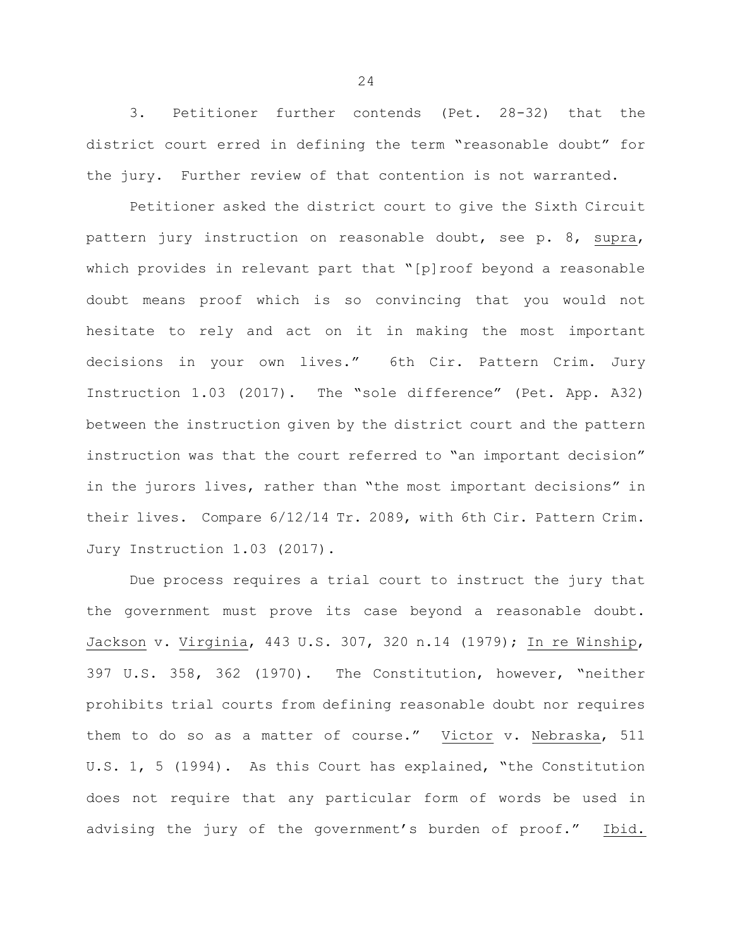3. Petitioner further contends (Pet. 28-32) that the district court erred in defining the term "reasonable doubt" for the jury. Further review of that contention is not warranted.

Petitioner asked the district court to give the Sixth Circuit pattern jury instruction on reasonable doubt, see p. 8, supra, which provides in relevant part that "[p]roof beyond a reasonable doubt means proof which is so convincing that you would not hesitate to rely and act on it in making the most important decisions in your own lives." 6th Cir. Pattern Crim. Jury Instruction 1.03 (2017). The "sole difference" (Pet. App. A32) between the instruction given by the district court and the pattern instruction was that the court referred to "an important decision" in the jurors lives, rather than "the most important decisions" in their lives. Compare 6/12/14 Tr. 2089, with 6th Cir. Pattern Crim. Jury Instruction 1.03 (2017).

Due process requires a trial court to instruct the jury that the government must prove its case beyond a reasonable doubt. Jackson v. Virginia, 443 U.S. 307, 320 n.14 (1979); In re Winship, 397 U.S. 358, 362 (1970). The Constitution, however, "neither prohibits trial courts from defining reasonable doubt nor requires them to do so as a matter of course." Victor v. Nebraska, 511 U.S. 1, 5 (1994). As this Court has explained, "the Constitution does not require that any particular form of words be used in advising the jury of the government's burden of proof." Ibid.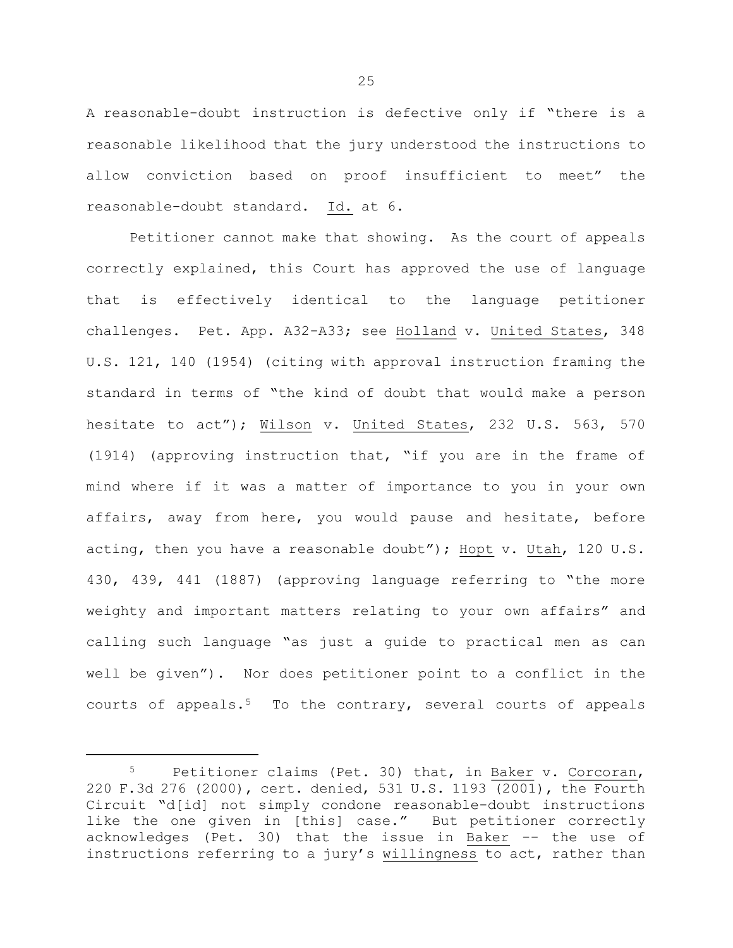A reasonable-doubt instruction is defective only if "there is a reasonable likelihood that the jury understood the instructions to allow conviction based on proof insufficient to meet" the reasonable-doubt standard. Id. at 6.

Petitioner cannot make that showing. As the court of appeals correctly explained, this Court has approved the use of language that is effectively identical to the language petitioner challenges. Pet. App. A32-A33; see Holland v. United States, 348 U.S. 121, 140 (1954) (citing with approval instruction framing the standard in terms of "the kind of doubt that would make a person hesitate to act"); Wilson v. United States, 232 U.S. 563, 570 (1914) (approving instruction that, "if you are in the frame of mind where if it was a matter of importance to you in your own affairs, away from here, you would pause and hesitate, before acting, then you have a reasonable doubt"); Hopt v. Utah, 120 U.S. 430, 439, 441 (1887) (approving language referring to "the more weighty and important matters relating to your own affairs" and calling such language "as just a guide to practical men as can well be given"). Nor does petitioner point to a conflict in the courts of appeals.<sup>5</sup> To the contrary, several courts of appeals

<sup>5</sup> Petitioner claims (Pet. 30) that, in Baker v. Corcoran, 220 F.3d 276 (2000), cert. denied, 531 U.S. 1193 (2001), the Fourth Circuit "d[id] not simply condone reasonable-doubt instructions like the one given in [this] case." But petitioner correctly acknowledges (Pet. 30) that the issue in Baker -- the use of instructions referring to a jury's willingness to act, rather than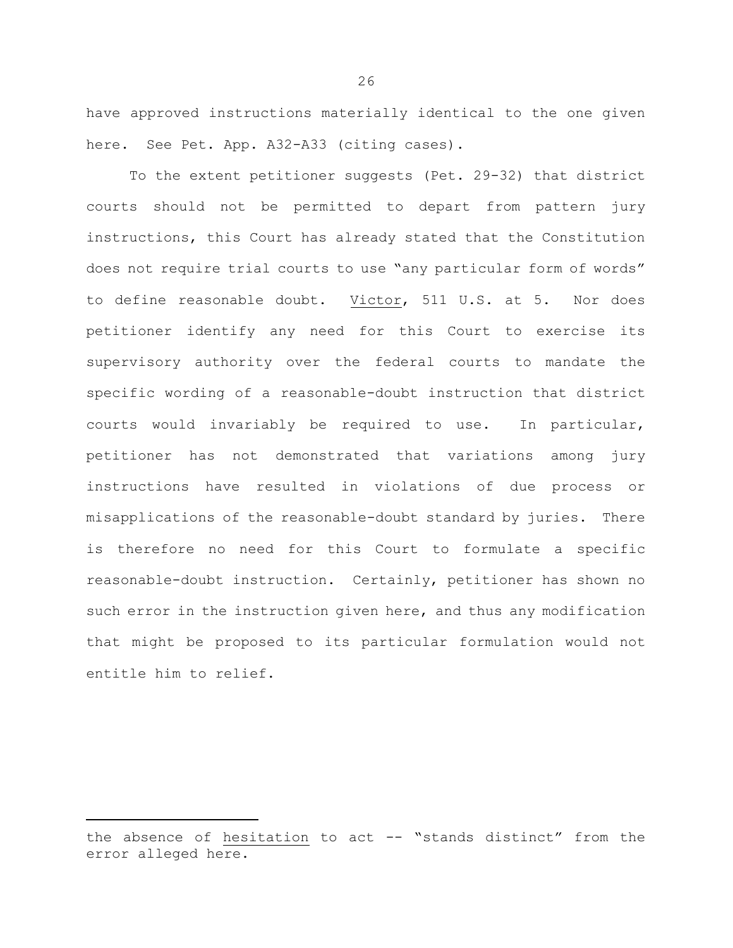have approved instructions materially identical to the one given here. See Pet. App. A32-A33 (citing cases).

To the extent petitioner suggests (Pet. 29-32) that district courts should not be permitted to depart from pattern jury instructions, this Court has already stated that the Constitution does not require trial courts to use "any particular form of words" to define reasonable doubt. Victor, 511 U.S. at 5. Nor does petitioner identify any need for this Court to exercise its supervisory authority over the federal courts to mandate the specific wording of a reasonable-doubt instruction that district courts would invariably be required to use. In particular, petitioner has not demonstrated that variations among jury instructions have resulted in violations of due process or misapplications of the reasonable-doubt standard by juries. There is therefore no need for this Court to formulate a specific reasonable-doubt instruction. Certainly, petitioner has shown no such error in the instruction given here, and thus any modification that might be proposed to its particular formulation would not entitle him to relief.

the absence of hesitation to act -- "stands distinct" from the error alleged here.